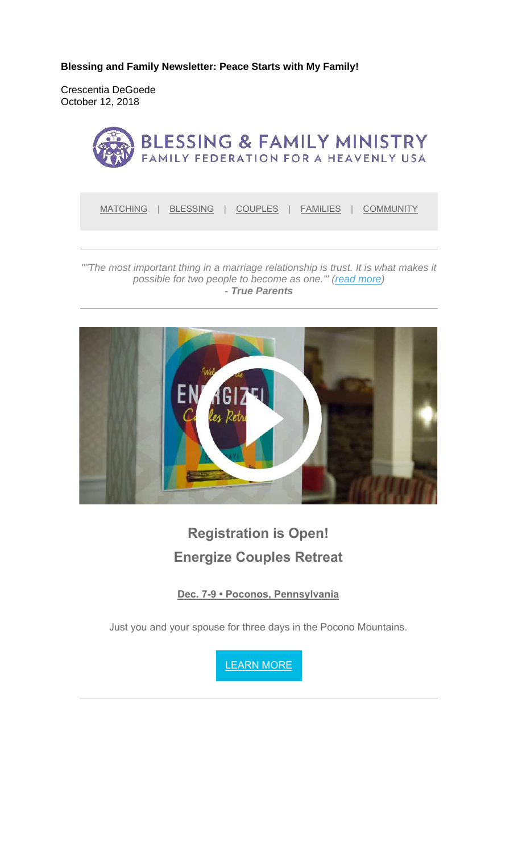**Blessing and Family Newsletter: Peace Starts with My Family!** 

Crescentia DeGoede October 12, 2018



MATCHING | BLESSING | COUPLES | FAMILIES | COMMUNITY

*""The most important thing in a marriage relationship is trust. It is what makes it possible for two people to become as one.'" (read more) - True Parents*



# **Registration is Open! Energize Couples Retreat**

**Dec. 7-9 • Poconos, Pennsylvania**

Just you and your spouse for three days in the Pocono Mountains.

LEARN MORE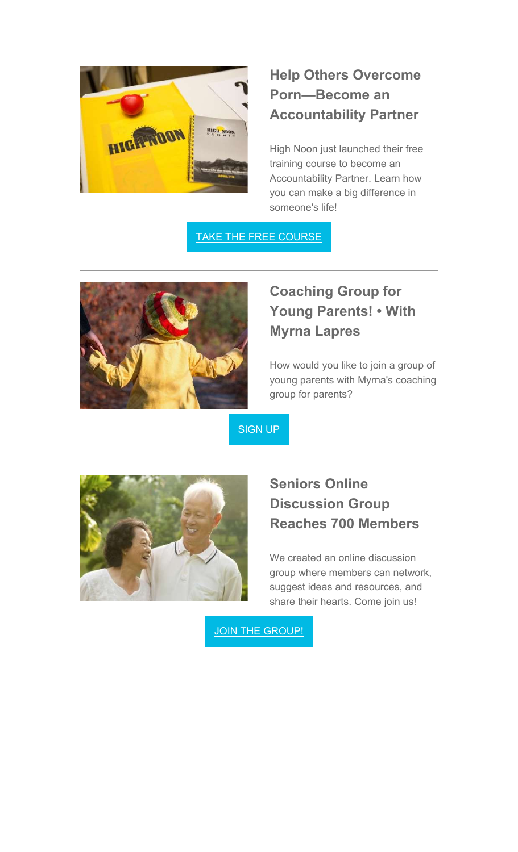

## **Help Others Overcome Porn—Become an Accountability Partner**

High Noon just launched their free training course to become an Accountability Partner. Learn how you can make a big difference in someone's life!

TAKE THE FREE COURSE



# **Coaching Group for Young Parents! • With Myrna Lapres**

How would you like to join a group of young parents with Myrna's coaching group for parents?

SIGN UP



### **Seniors Online Discussion Group Reaches 700 Members**

We created an online discussion group where members can network, suggest ideas and resources, and share their hearts. Come join us!

JOIN THE GROUP!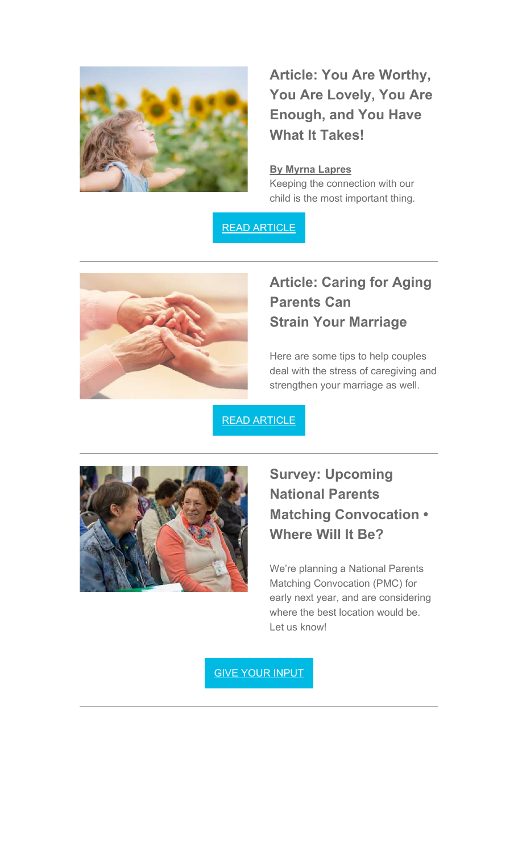

**Article: You Are Worthy, You Are Lovely, You Are Enough, and You Have What It Takes!**

#### **By Myrna Lapres**

Keeping the connection with our child is the most important thing.

READ ARTICLE



### **Article: Caring for Aging Parents Can Strain Your Marriage**

Here are some tips to help couples deal with the stress of caregiving and strengthen your marriage as well.

READ ARTICLE



### **Survey: Upcoming National Parents Matching Convocation • Where Will It Be?**

We're planning a National Parents Matching Convocation (PMC) for early next year, and are considering where the best location would be. Let us know!

GIVE YOUR INPUT